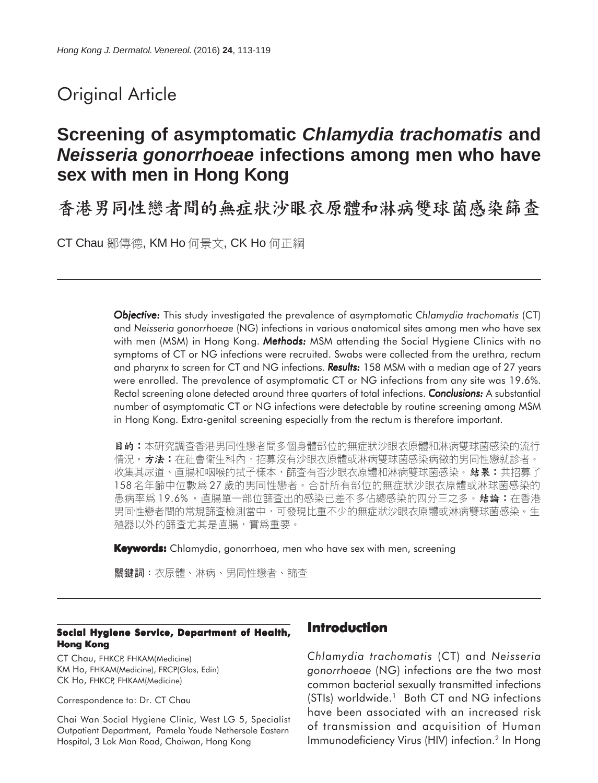# Original Article

## **Screening of asymptomatic** *Chlamydia trachomatis* **and** *Neisseria gonorrhoeae* **infections among men who have sex with men in Hong Kong**

香港男同性戀者間的無症狀沙眼衣原體和淋病雙球菌感染篩查

CT Chau 鄒傳德, KM Ho 何景文, CK Ho 何正綱

*Objective: Objective:* This study investigated the prevalence of asymptomatic *Chlamydia trachomatis* (CT) and *Neisseria gonorrhoeae* (NG) infections in various anatomical sites among men who have sex with men (MSM) in Hong Kong. *Methods: Methods:* MSM attending the Social Hygiene Clinics with no symptoms of CT or NG infections were recruited. Swabs were collected from the urethra, rectum and pharynx to screen for CT and NG infections. **Results:** 158 MSM with a median age of 27 years were enrolled. The prevalence of asymptomatic CT or NG infections from any site was 19.6%. Rectal screening alone detected around three quarters of total infections. *Conclusions:* A substantial number of asymptomatic CT or NG infections were detectable by routine screening among MSM in Hong Kong. Extra-genital screening especially from the rectum is therefore important.

**目的:**本研究調查香港男同性戀者間多個身體部位的無症狀沙眼衣原體和淋病雙球菌感染的流行 情況。方**法:**在社會衛生科內,招募沒有沙眼衣原體或淋病雙球菌感染病徵的男同性戀就診者。 收集其尿道、直腸和咽喉的拭子樣本,篩查有否沙眼衣原體和淋病雙球菌感染。 **結果:**共招募了 158名年齡中位數爲27歲的男同性戀者。合計所有部位的無症狀沙眼衣原體或淋球菌感染的 患病率爲 19.6% 。直腸單一部位篩查出的感染已差不多佔總感染的四分三之多。 **結論:**在香港 男同性戀者間的常規篩查檢測當中,可發現比重不少的無症狀沙眼衣原體或淋病雙球菌感染。生 殖器以外的篩查尤其是直腸,實爲重要。

**Keywords:** Chlamydia, gonorrhoea, men who have sex with men, screening

關鍵詞:衣原體、淋病、男同性戀者、篩查

#### **Social Hygiene Service, Department of Health, Hong Kong**

CT Chau, FHKCP, FHKAM(Medicine) KM Ho, FHKAM(Medicine), FRCP(Glas, Edin) CK Ho, FHKCP, FHKAM(Medicine)

Correspondence to: Dr. CT Chau

Chai Wan Social Hygiene Clinic, West LG 5, Specialist Outpatient Department, Pamela Youde Nethersole Eastern Hospital, 3 Lok Man Road, Chaiwan, Hong Kong

## **Introduction**

*Chlamydia trachomatis* (CT) and *Neisseria gonorrhoeae* (NG) infections are the two most common bacterial sexually transmitted infections (STIs) worldwide.<sup>1</sup> Both CT and NG infections have been associated with an increased risk of transmission and acquisition of Human Immunodeficiency Virus (HIV) infection.<sup>2</sup> In Hong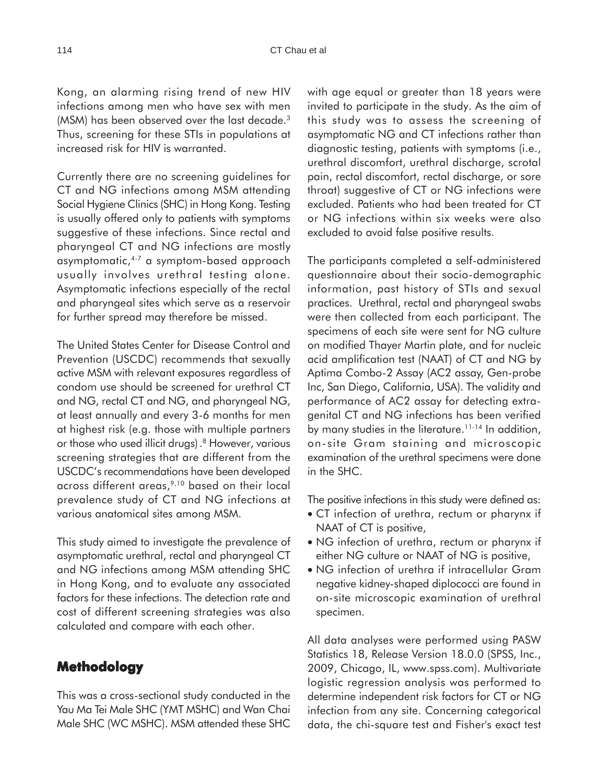Kong, an alarming rising trend of new HIV infections among men who have sex with men (MSM) has been observed over the last decade.<sup>3</sup> Thus, screening for these STIs in populations at increased risk for HIV is warranted.

Currently there are no screening guidelines for CT and NG infections among MSM attending Social Hygiene Clinics (SHC) in Hong Kong. Testing is usually offered only to patients with symptoms suggestive of these infections. Since rectal and pharyngeal CT and NG infections are mostly asymptomatic,4-7 a symptom-based approach usually involves urethral testing alone. Asymptomatic infections especially of the rectal and pharyngeal sites which serve as a reservoir for further spread may therefore be missed.

The United States Center for Disease Control and Prevention (USCDC) recommends that sexually active MSM with relevant exposures regardless of condom use should be screened for urethral CT and NG, rectal CT and NG, and pharyngeal NG, at least annually and every 3-6 months for men at highest risk (e.g. those with multiple partners or those who used illicit drugs). 8 However, various screening strategies that are different from the USCDC's recommendations have been developed across different areas,<sup>9,10</sup> based on their local prevalence study of CT and NG infections at various anatomical sites among MSM.

This study aimed to investigate the prevalence of asymptomatic urethral, rectal and pharyngeal CT and NG infections among MSM attending SHC in Hong Kong, and to evaluate any associated factors for these infections. The detection rate and cost of different screening strategies was also calculated and compare with each other.

## **Methodology**

This was a cross-sectional study conducted in the Yau Ma Tei Male SHC (YMT MSHC) and Wan Chai Male SHC (WC MSHC). MSM attended these SHC with age equal or greater than 18 years were invited to participate in the study. As the aim of this study was to assess the screening of asymptomatic NG and CT infections rather than diagnostic testing, patients with symptoms (i.e., urethral discomfort, urethral discharge, scrotal pain, rectal discomfort, rectal discharge, or sore throat) suggestive of CT or NG infections were excluded. Patients who had been treated for CT or NG infections within six weeks were also excluded to avoid false positive results.

The participants completed a self-administered questionnaire about their socio-demographic information, past history of STIs and sexual practices. Urethral, rectal and pharyngeal swabs were then collected from each participant. The specimens of each site were sent for NG culture on modified Thayer Martin plate, and for nucleic acid amplification test (NAAT) of CT and NG by Aptima Combo-2 Assay (AC2 assay, Gen-probe Inc, San Diego, California, USA). The validity and performance of AC2 assay for detecting extragenital CT and NG infections has been verified by many studies in the literature.<sup>11-14</sup> In addition, on-site Gram staining and microscopic examination of the urethral specimens were done in the SHC.

The positive infections in this study were defined as:

- CT infection of urethra, rectum or pharynx if NAAT of CT is positive,
- NG infection of urethra, rectum or pharynx if either NG culture or NAAT of NG is positive,
- NG infection of urethra if intracellular Gram negative kidney-shaped diplococci are found in on-site microscopic examination of urethral specimen.

All data analyses were performed using PASW Statistics 18, Release Version 18.0.0 (SPSS, Inc., 2009, Chicago, IL, www.spss.com). Multivariate logistic regression analysis was performed to determine independent risk factors for CT or NG infection from any site. Concerning categorical data, the chi-square test and Fisher's exact test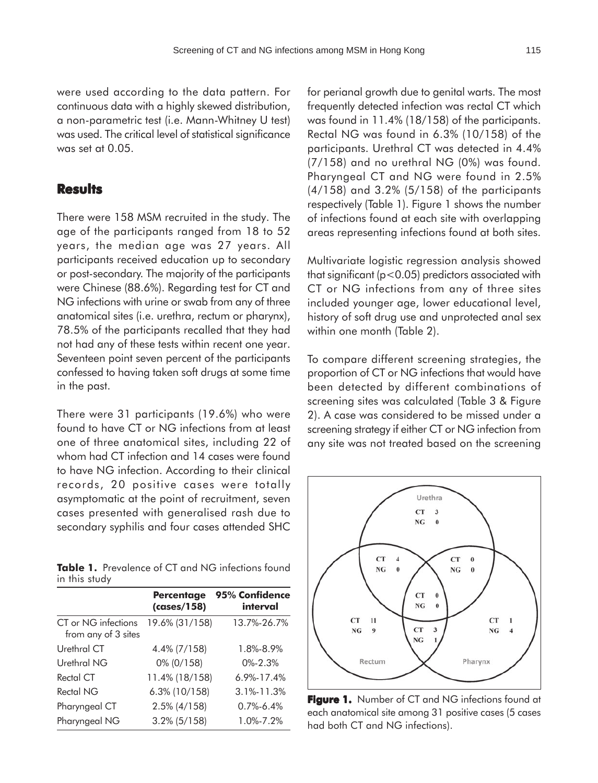were used according to the data pattern. For continuous data with a highly skewed distribution, a non-parametric test (i.e. Mann-Whitney U test) was used. The critical level of statistical significance was set at 0.05.

#### **Results**

There were 158 MSM recruited in the study. The age of the participants ranged from 18 to 52 years, the median age was 27 years. All participants received education up to secondary or post-secondary. The majority of the participants were Chinese (88.6%). Regarding test for CT and NG infections with urine or swab from any of three anatomical sites (i.e. urethra, rectum or pharynx), 78.5% of the participants recalled that they had not had any of these tests within recent one year. Seventeen point seven percent of the participants confessed to having taken soft drugs at some time in the past.

There were 31 participants (19.6%) who were found to have CT or NG infections from at least one of three anatomical sites, including 22 of whom had CT infection and 14 cases were found to have NG infection. According to their clinical records, 20 positive cases were totally asymptomatic at the point of recruitment, seven cases presented with generalised rash due to secondary syphilis and four cases attended SHC

**Table 1.** Prevalence of CT and NG infections found in this study

|                                            | <b>Percentage</b><br>(cases/158) | 95% Confidence<br>interval |  |  |
|--------------------------------------------|----------------------------------|----------------------------|--|--|
| CT or NG infections<br>from any of 3 sites | 19.6% (31/158)                   | 13.7%-26.7%                |  |  |
| Urethral CT                                | 4.4% (7/158)                     | 1.8%-8.9%                  |  |  |
| Urethral NG                                | 0% (0/158)                       | $0\% - 2.3\%$              |  |  |
| Rectal CT                                  | 11.4% (18/158)                   | $6.9\% - 17.4\%$           |  |  |
| Rectal NG                                  | 6.3% (10/158)                    | 3.1%-11.3%                 |  |  |
| Pharyngeal CT                              | $2.5\%$ (4/158)                  | $0.7\% - 6.4\%$            |  |  |
| Pharyngeal NG                              | $3.2\%$ (5/158)                  | 1.0%-7.2%                  |  |  |

for perianal growth due to genital warts. The most frequently detected infection was rectal CT which was found in 11.4% (18/158) of the participants. Rectal NG was found in 6.3% (10/158) of the participants. Urethral CT was detected in 4.4% (7/158) and no urethral NG (0%) was found. Pharyngeal CT and NG were found in 2.5% (4/158) and 3.2% (5/158) of the participants respectively (Table 1). Figure 1 shows the number of infections found at each site with overlapping areas representing infections found at both sites.

Multivariate logistic regression analysis showed that significant (p<0.05) predictors associated with CT or NG infections from any of three sites included younger age, lower educational level, history of soft drug use and unprotected anal sex within one month (Table 2).

To compare different screening strategies, the proportion of CT or NG infections that would have been detected by different combinations of screening sites was calculated (Table 3 & Figure 2). A case was considered to be missed under a screening strategy if either CT or NG infection from any site was not treated based on the screening



**Figure 1.** Number of CT and NG infections found at each anatomical site among 31 positive cases (5 cases had both CT and NG infections).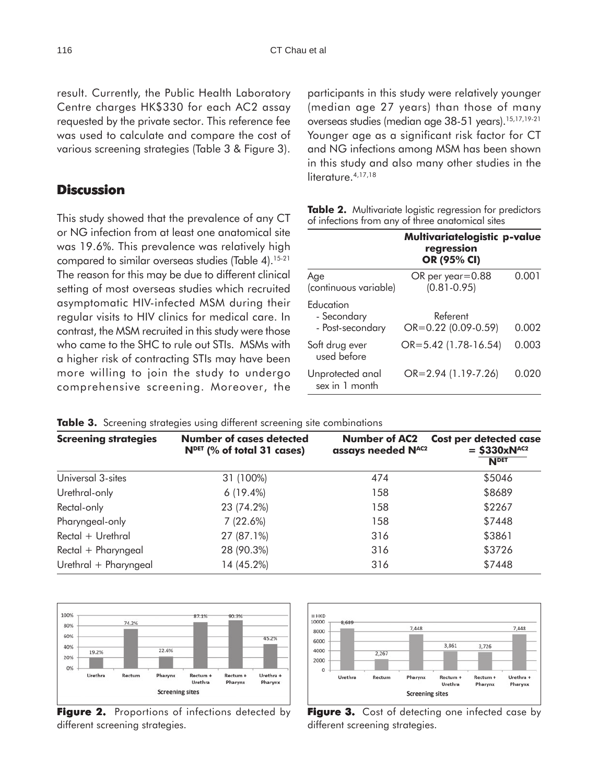result. Currently, the Public Health Laboratory Centre charges HK\$330 for each AC2 assay requested by the private sector. This reference fee was used to calculate and compare the cost of various screening strategies (Table 3 & Figure 3).

## **Discussion**

This study showed that the prevalence of any CT or NG infection from at least one anatomical site was 19.6%. This prevalence was relatively high compared to similar overseas studies (Table 4).<sup>15-21</sup> The reason for this may be due to different clinical setting of most overseas studies which recruited asymptomatic HIV-infected MSM during their regular visits to HIV clinics for medical care. In contrast, the MSM recruited in this study were those who came to the SHC to rule out STIs. MSMs with a higher risk of contracting STIs may have been more willing to join the study to undergo comprehensive screening. Moreover, the

participants in this study were relatively younger (median age 27 years) than those of many overseas studies (median age 38-51 years).<sup>15,17,19-21</sup> Younger age as a significant risk factor for CT and NG infections among MSM has been shown in this study and also many other studies in the literature.<sup>4,17,18</sup>

|                                              | Multivariatelogistic p-value<br>regression<br>OR (95% CI) |       |  |  |  |
|----------------------------------------------|-----------------------------------------------------------|-------|--|--|--|
| Age<br>(continuous variable)                 | $OR$ per year=0.88<br>$(0.81 - 0.95)$                     | 0.001 |  |  |  |
| Education<br>- Secondary<br>- Post-secondary | Referent<br>OR=0.22 (0.09-0.59)                           | 0.002 |  |  |  |
| Soft drug ever<br>used before                | $OR = 5.42$ (1.78-16.54)                                  | 0.003 |  |  |  |
| Unprotected anal<br>sex in 1 month           | OR=2.94 (1.19-7.26)                                       | 0.020 |  |  |  |

**Table 2.** Multivariate logistic regression for predictors of infections from any of three anatomical sites

|  |  |  | Table 3. Screening strategies using different screening site combinations |
|--|--|--|---------------------------------------------------------------------------|
|  |  |  |                                                                           |

| <b>Screening strategies</b> | Number of cases detected<br>$NDET$ (% of total 31 cases) | <b>Number of AC2</b><br>assays needed NAC2 | <b>Cost per detected case</b><br>$=$ \$330xN <sup>AC2</sup><br><b>NDET</b> |  |
|-----------------------------|----------------------------------------------------------|--------------------------------------------|----------------------------------------------------------------------------|--|
| Universal 3-sites           | 31 (100%)                                                | 474                                        | \$5046                                                                     |  |
| Urethral-only               | $6(19.4\%)$                                              | 158                                        | \$8689                                                                     |  |
| Rectal-only                 | 23 (74.2%)                                               | 158                                        | \$2267                                                                     |  |
| Pharyngeal-only             | 7(22.6%)                                                 | 158                                        | \$7448                                                                     |  |
| Rectal + Urethral           | 27 (87.1%)                                               | 316                                        | \$3861                                                                     |  |
| Rectal + Pharyngeal         | 28 (90.3%)                                               | 316                                        | \$3726                                                                     |  |
| Urethral + Pharyngeal       | 14 (45.2%)                                               | 316                                        | \$7448                                                                     |  |



**Figure 2.** Proportions of infections detected by different screening strategies.



**Figure 3.** Cost of detecting one infected case by different screening strategies.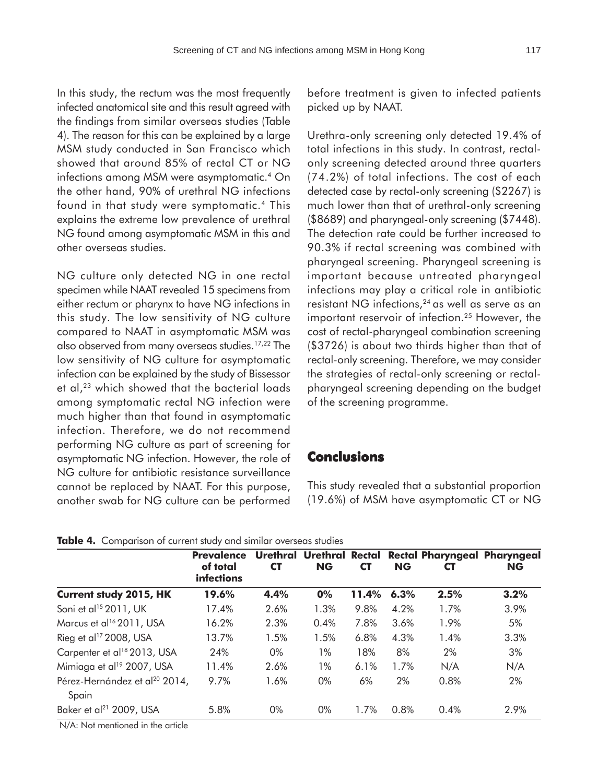In this study, the rectum was the most frequently infected anatomical site and this result agreed with the findings from similar overseas studies (Table 4). The reason for this can be explained by a large MSM study conducted in San Francisco which showed that around 85% of rectal CT or NG infections among MSM were asymptomatic.<sup>4</sup> On the other hand, 90% of urethral NG infections found in that study were symptomatic.4 This explains the extreme low prevalence of urethral NG found among asymptomatic MSM in this and other overseas studies.

NG culture only detected NG in one rectal specimen while NAAT revealed 15 specimens from either rectum or pharynx to have NG infections in this study. The low sensitivity of NG culture compared to NAAT in asymptomatic MSM was also observed from many overseas studies.17,22 The low sensitivity of NG culture for asymptomatic infection can be explained by the study of Bissessor et al,<sup>23</sup> which showed that the bacterial loads among symptomatic rectal NG infection were much higher than that found in asymptomatic infection. Therefore, we do not recommend performing NG culture as part of screening for asymptomatic NG infection. However, the role of NG culture for antibiotic resistance surveillance cannot be replaced by NAAT. For this purpose, another swab for NG culture can be performed

before treatment is given to infected patients picked up by NAAT.

Urethra-only screening only detected 19.4% of total infections in this study. In contrast, rectalonly screening detected around three quarters (74.2%) of total infections. The cost of each detected case by rectal-only screening (\$2267) is much lower than that of urethral-only screening (\$8689) and pharyngeal-only screening (\$7448). The detection rate could be further increased to 90.3% if rectal screening was combined with pharyngeal screening. Pharyngeal screening is important because untreated pharyngeal infections may play a critical role in antibiotic resistant NG infections,<sup>24</sup> as well as serve as an important reservoir of infection.<sup>25</sup> However, the cost of rectal-pharyngeal combination screening (\$3726) is about two thirds higher than that of rectal-only screening. Therefore, we may consider the strategies of rectal-only screening or rectalpharyngeal screening depending on the budget of the screening programme.

## **Conclusions**

This study revealed that a substantial proportion (19.6%) of MSM have asymptomatic CT or NG

**Table 4.** Comparison of current study and similar overseas studies

|                                                    | <b>Prevalence</b><br>of total<br>infections | <b>Urethral</b><br><b>CT</b> | <b>Urethral Rectal</b><br><b>NG</b> | <b>CT</b> | <b>NG</b> | Rectal Pharyngeal Pharyngeal<br>C1 | <b>NG</b> |
|----------------------------------------------------|---------------------------------------------|------------------------------|-------------------------------------|-----------|-----------|------------------------------------|-----------|
| <b>Current study 2015, HK</b>                      | 19.6%                                       | 4.4%                         | 0%                                  | 11.4%     | 6.3%      | 2.5%                               | 3.2%      |
| Soni et al <sup>15</sup> 2011, UK                  | 17.4%                                       | 2.6%                         | 1.3%                                | 9.8%      | 4.2%      | 1.7%                               | 3.9%      |
| Marcus et al <sup>16</sup> 2011, USA               | 16.2%                                       | 2.3%                         | 0.4%                                | 7.8%      | 3.6%      | 1.9%                               | 5%        |
| Rieg et al <sup>17</sup> 2008, USA                 | 13.7%                                       | 1.5%                         | 1.5%                                | 6.8%      | 4.3%      | 1.4%                               | 3.3%      |
| Carpenter et al <sup>18</sup> 2013, USA            | 24%                                         | $0\%$                        | $1\%$                               | 18%       | 8%        | 2%                                 | 3%        |
| Mimiaga et al <sup>19</sup> 2007, USA              | 11.4%                                       | 2.6%                         | 1%                                  | 6.1%      | 1.7%      | N/A                                | N/A       |
| Pérez-Hernández et al <sup>20</sup> 2014,<br>Spain | 9.7%                                        | 1.6%                         | $0\%$                               | 6%        | 2%        | 0.8%                               | 2%        |
| Baker et al <sup>21</sup> 2009, USA                | 5.8%                                        | 0%                           | $0\%$                               | 1.7%      | 0.8%      | 0.4%                               | 2.9%      |

N/A: Not mentioned in the article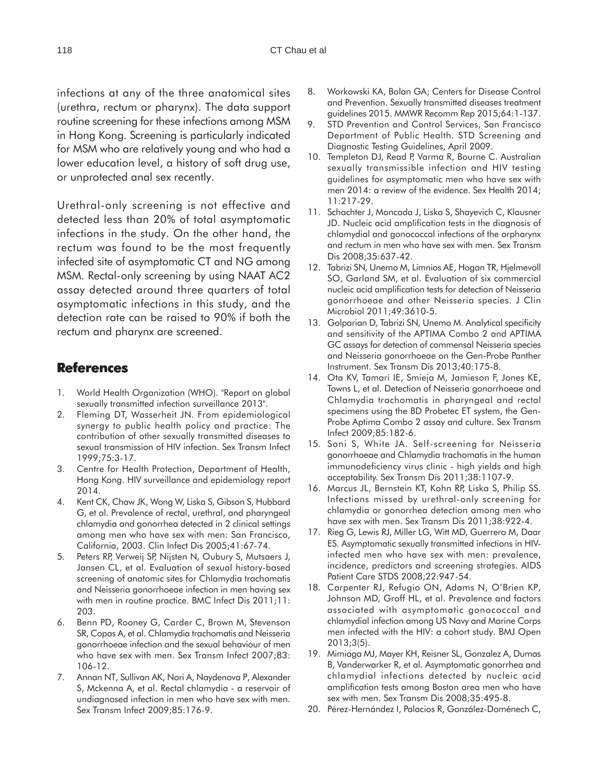infections at any of the three anatomical sites (urethra, rectum or pharynx). The data support routine screening for these infections among MSM in Hong Kong. Screening is particularly indicated for MSM who are relatively young and who had a lower education level, a history of soft drug use, or unprotected anal sex recently.

Urethral-only screening is not effective and detected less than 20% of total asymptomatic infections in the study. On the other hand, the rectum was found to be the most frequently infected site of asymptomatic CT and NG among MSM. Rectal-only screening by using NAAT AC2 assay detected around three quarters of total asymptomatic infections in this study, and the detection rate can be raised to 90% if both the rectum and pharynx are screened.

### **References**

- 1. World Health Organization (WHO). "Report on global sexually transmitted infection surveillance 2013".
- 2. Fleming DT, Wasserheit JN. From epidemiological synergy to public health policy and practice: The contribution of other sexually transmitted diseases to sexual transmission of HIV infection. Sex Transm Infect 1999;75:3-17.
- 3. Centre for Health Protection, Department of Health, Hong Kong. HIV surveillance and epidemiology report 2014.
- 4. Kent CK, Chaw JK, Wong W, Liska S, Gibson S, Hubbard G, et al. Prevalence of rectal, urethral, and pharyngeal chlamydia and gonorrhea detected in 2 clinical settings among men who have sex with men: San Francisco, California, 2003. Clin Infect Dis 2005;41:67-74.
- 5. Peters RP, Verweij SP, Nijsten N, Oubury S, Mutsaers J, Jansen CL, et al. Evaluation of sexual history-based screening of anatomic sites for Chlamydia trachomatis and Neisseria gonorrhoeae infection in men having sex with men in routine practice. BMC Infect Dis 2011;11: 203.
- 6. Benn PD, Rooney G, Carder C, Brown M, Stevenson SR, Copas A, et al. Chlamydia trachomatis and Neisseria gonorrhoeae infection and the sexual behaviour of men who have sex with men. Sex Transm Infect 2007;83: 106-12.
- 7. Annan NT, Sullivan AK, Nori A, Naydenova P, Alexander S, Mckenna A, et al. Rectal chlamydia - a reservoir of undiagnosed infection in men who have sex with men. Sex Transm Infect 2009;85:176-9.
- 8. Workowski KA, Bolan GA; Centers for Disease Control and Prevention. Sexually transmitted diseases treatment guidelines 2015. MMWR Recomm Rep 2015;64:1-137.
- 9. STD Prevention and Control Services, San Francisco Department of Public Health. STD Screening and Diagnostic Testing Guidelines, April 2009.
- 10. Templeton DJ, Read P, Varma R, Bourne C. Australian sexually transmissible infection and HIV testing guidelines for asymptomatic men who have sex with men 2014: a review of the evidence. Sex Health 2014; 11:217-29.
- 11. Schachter J, Moncada J, Liska S, Shayevich C, Klausner JD. Nucleic acid amplification tests in the diagnosis of chlamydial and gonococcal infections of the orpharynx and rectum in men who have sex with men. Sex Transm Dis 2008;35:637-42.
- 12. Tabrizi SN, Unemo M, Limnios AE, Hogan TR, Hjelmevoll SO, Garland SM, et al. Evaluation of six commercial nucleic acid amplification tests for detection of Neisseria gonorrhoeae and other Neisseria species. J Clin Microbiol 2011;49:3610-5.
- 13. Golparian D, Tabrizi SN, Unemo M. Analytical specificity and sensitivity of the APTIMA Combo 2 and APTIMA GC assays for detection of commensal Neisseria species and Neisseria gonorrhoeae on the Gen-Probe Panther Instrument. Sex Transm Dis 2013;40:175-8.
- 14. Ota KV, Tamari IE, Smieja M, Jamieson F, Jones KE, Towns L, et al. Detection of Neisseria gonorrhoeae and Chlamydia trachomatis in pharyngeal and rectal specimens using the BD Probetec ET system, the Gen-Probe Aptima Combo 2 assay and culture. Sex Transm Infect 2009;85:182-6.
- 15. Soni S, White JA. Self-screening for Neisseria gonorrhoeae and Chlamydia trachomatis in the human immunodeficiency virus clinic - high yields and high acceptability. Sex Transm Dis 2011;38:1107-9.
- 16. Marcus JL, Bernstein KT, Kohn RP, Liska S, Philip SS. Infections missed by urethral-only screening for chlamydia or gonorrhea detection among men who have sex with men. Sex Transm Dis 2011;38:922-4.
- 17. Rieg G, Lewis RJ, Miller LG, Witt MD, Guerrero M, Daar ES. Asymptomatic sexually transmitted infections in HIVinfected men who have sex with men: prevalence, incidence, predictors and screening strategies. AIDS Patient Care STDS 2008;22:947-54.
- 18. Carpenter RJ, Refugio ON, Adams N, O'Brien KP, Johnson MD, Groff HL, et al. Prevalence and factors associated with asymptomatic gonococcal and chlamydial infection among US Navy and Marine Corps men infected with the HIV: a cohort study. BMJ Open 2013;3(5).
- 19. Mimiaga MJ, Mayer KH, Reisner SL, Gonzalez A, Dumas B, Vanderwarker R, et al. Asymptomatic gonorrhea and chlamydial infections detected by nucleic acid amplification tests among Boston area men who have sex with men. Sex Transm Dis 2008;35:495-8.
- 20. Pérez-Hernández I, Palacios R, González-Doménech C,